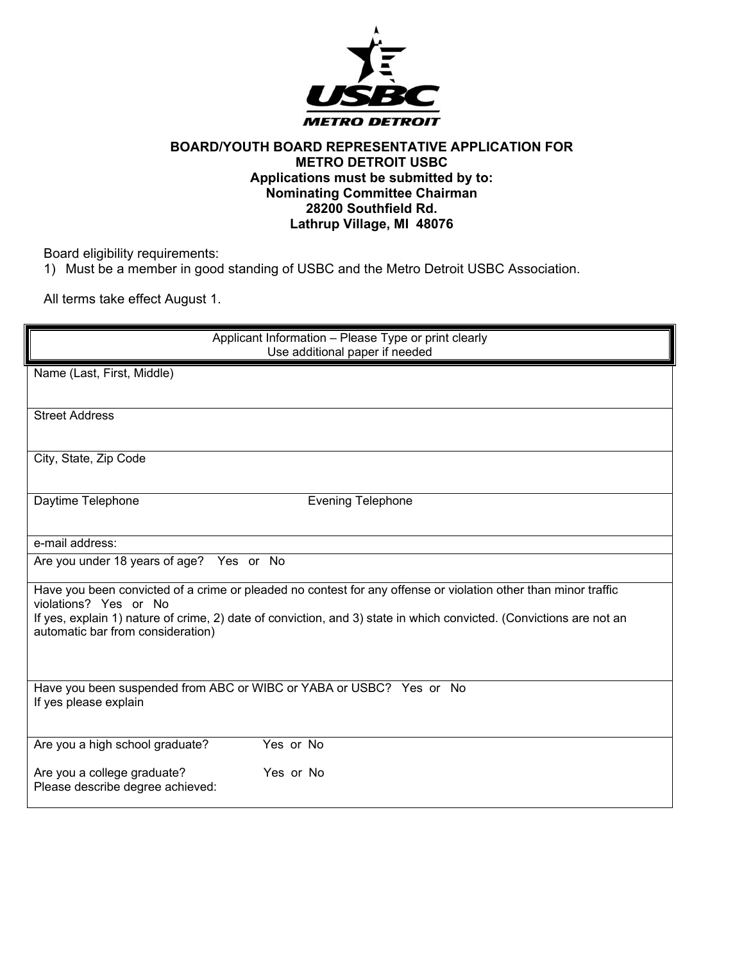

## **BOARD/YOUTH BOARD REPRESENTATIVE APPLICATION FOR METRO DETROIT USBC Applications must be submitted by to: Nominating Committee Chairman 28200 Southfield Rd. Lathrup Village, MI 48076**

Board eligibility requirements:

1) Must be a member in good standing of USBC and the Metro Detroit USBC Association.

All terms take effect August 1.

| Applicant Information - Please Type or print clearly<br>Use additional paper if needed                                                                                                                                                                                                              |
|-----------------------------------------------------------------------------------------------------------------------------------------------------------------------------------------------------------------------------------------------------------------------------------------------------|
| Name (Last, First, Middle)                                                                                                                                                                                                                                                                          |
| <b>Street Address</b>                                                                                                                                                                                                                                                                               |
| City, State, Zip Code                                                                                                                                                                                                                                                                               |
| <b>Evening Telephone</b><br>Daytime Telephone                                                                                                                                                                                                                                                       |
| e-mail address:                                                                                                                                                                                                                                                                                     |
| Are you under 18 years of age? Yes or No                                                                                                                                                                                                                                                            |
| Have you been convicted of a crime or pleaded no contest for any offense or violation other than minor traffic<br>violations? Yes or No<br>If yes, explain 1) nature of crime, 2) date of conviction, and 3) state in which convicted. (Convictions are not an<br>automatic bar from consideration) |
| Have you been suspended from ABC or WIBC or YABA or USBC? Yes or No<br>If yes please explain                                                                                                                                                                                                        |
| Yes or No<br>Are you a high school graduate?                                                                                                                                                                                                                                                        |
| Are you a college graduate?<br>Yes or No<br>Please describe degree achieved:                                                                                                                                                                                                                        |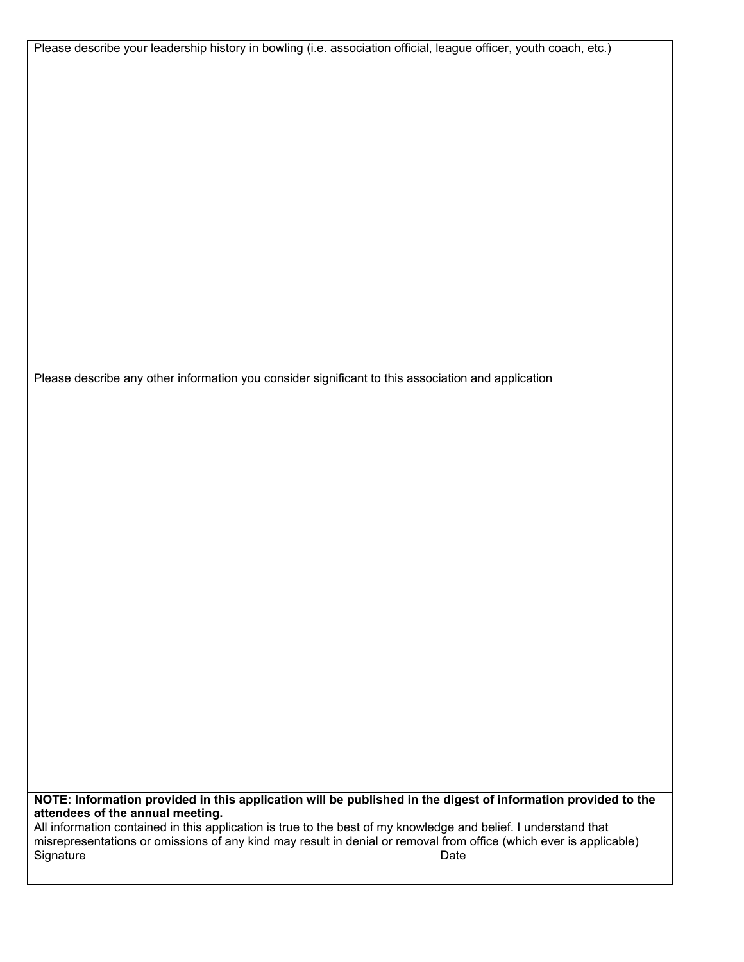Please describe your leadership history in bowling (i.e. association official, league officer, youth coach, etc.)

Please describe any other information you consider significant to this association and application

**NOTE: Information provided in this application will be published in the digest of information provided to the attendees of the annual meeting.** 

All information contained in this application is true to the best of my knowledge and belief. I understand that misrepresentations or omissions of any kind may result in denial or removal from office (which ever is applicable) Signature Date